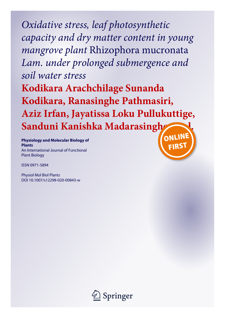*Oxidative stress, leaf photosynthetic capacity and dry matter content in young mangrove plant* Rhizophora mucronata *Lam. under prolonged submergence and soil water stress* **Kodikara Arachchilage Sunanda Kodikara, Ranasinghe Pathmasiri, Aziz Irfan, Jayatissa Loku Pullukuttige, Sanduni Kanishka Madarasinghe** 

ONLIN

**Physiology and Molecular Biology of Plants** An International Journal of Functional Plant Biology

ISSN 0971-5894

Physiol Mol Biol Plants DOI 10.1007/s12298-020-00843-w

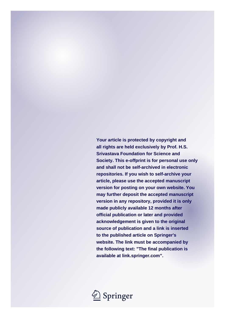**Your article is protected by copyright and all rights are held exclusively by Prof. H.S. Srivastava Foundation for Science and Society. This e-offprint is for personal use only and shall not be self-archived in electronic repositories. If you wish to self-archive your article, please use the accepted manuscript version for posting on your own website. You may further deposit the accepted manuscript version in any repository, provided it is only made publicly available 12 months after official publication or later and provided acknowledgement is given to the original source of publication and a link is inserted to the published article on Springer's website. The link must be accompanied by the following text: "The final publication is available at link.springer.com".**

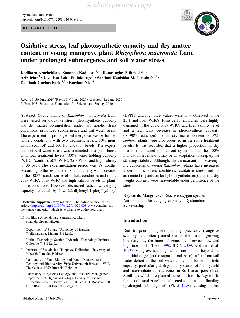RESEARCH ARTICLE



# Oxidative stress, leaf photosynthetic capacity and dry matter content in young mangrove plant Rhizophora mucronata Lam. under prolonged submergence and soil water stress

Kodikara Arachchilage Sunanda Kodikara<sup>1,4</sup> · Ranasinghe Pathmasiri<sup>2</sup> · Aziz Irfan<sup>3</sup> • Jayatissa Loku Pullukuttige<sup>1</sup> • Sanduni Kanishka Madarasinghe<sup>1</sup> • Dahdouh-Guebas Farid $4.5 \cdot$  Koedam Nico<sup>4</sup>

Received: 30 June 2019 / Revised: 9 June 2020 / Accepted: 22 June 2020 - Prof. H.S. Srivastava Foundation for Science and Society 2020

Abstract Young plants of Rhizophora mucronata Lam. were tested for oxidative stress, photosynthetic capacity and dry matter accumulation under two abiotic stress conditions; prolonged submergence and soil water stress. The experiment of prolonged submergence was performed in field conditions with two treatment levels; 50% inundation (control) and 100% inundation levels. The experiment of soil water stress was conducted in a plant-house with four treatment levels, 100% water holding capacity (WHC) (control), 50% WHC, 25% WHC and high salinity  $($  > 35 psu). The experimentation period was 18 months. According to the results, antioxidant activity was increased in the 100% inundation level in field conditions and in the 25% WHC, 50% WHC and high salinity levels in planthouse conditions. However, decreased radical scavenging capacity reflected by low 2,2-diphenyl-1-picrylhydrazyl

Electronic supplementary material The online version of this article [\(https://doi.org/10.1007/s12298-020-00843-w](https://doi.org/10.1007/s12298-020-00843-w)) contains supplementary material, which is available to authorized users.

 $\boxtimes$  Kodikara Arachchilage Sunanda Kodikara sunandaruh@gmail.com

- <sup>1</sup> Department of Botany, University of Ruhuna, Wellamadama, Matara, Sri Lanka
- <sup>2</sup> Herbal Technology Section, Industrial Technology Institute, Colombo 7, Sri Lanka
- Institute of Sustainable Halophyte Utilization, University of Karachi, Karachi, Pakistan
- <sup>4</sup> Laboratory of Plant Biology and Nature Management, Ecology and Biodiversity, Vrije Universiteit Brussel - VUB, Pleinlaan 2, 1050 Brussels, Belgium
- Laboratory of Systems Ecology and Resource Management, Department of Organism Biology, Faculty of Sciences, Université Libre de Bruxelles - ULB, Av. F.D. Roosevelt 50, CPi 2064/1, 1050 Brussels, Belgium

(DPPH) and high  $IC_{50}$  values were only observed in the 25% and 50% WHCs. Plant cell membranes were highly damaged in the 25%, 50% WHCs and high salinity level and a significant decrease in photosynthetic capacity ( $\sim 90\%$  reduction) and in dry matter content of Rhizophora plants were also observed in the same treatment levels. It was recorded that a higher proportion of dry matter is allocated to the root system under the 100% inundation level and it may be an adaptation to keep up the standing stability. Although, the antioxidant and scavenging capacities of young Rhizophora plants have increased under abiotic stress conditions, oxidative stress and its associated impacts on leaf photosynthetic capacity and dry weight contents were unavoidable under persistence of the stress.

Keywords Mangroves - Reactive oxygen species - Antioxidants - Scavenging capacity - Dysfunction - Survivorship

# Introduction

Due to poor mangrove planting practices, mangrove seedlings are often planted out of the natural growing boundary i.e., the intertidal zone, area between low and high tide marks (Field [1998;](#page-13-0) IUCN [2009](#page-14-0); Kodikara et al. [2017](#page-14-0)). Mangrove seedlings which are planted beyond the intertidal range (in the supra-littoral zone) suffer from soil water deficit as the soil water content is below the field capacity, particularly during the dry season of the dry, arid and intermediate climate zones in Sri Lanka (pers. obs.). Seedlings which are planted more out into the lagoon (in the infra-littoral zone) are subjected to permanent flooding (prolonged submergence) (Field [1998\)](#page-13-0) causing severe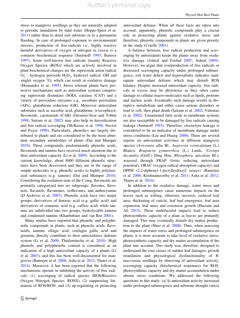stress to mangrove seedlings as they are naturally adapted to periodic inundation by tidal water (Hoppe-Speer et al. [2011\)](#page-14-0) rather than to dried soil substrate or to a permanent flooding. In case of prolonged exposure to environmental stresses, production of free-radicals i.e., highly reactive harmful derivatives of oxygen or nitrogen in excess is a common biochemical response (Smirnoff [1993](#page-14-0); Bartosz [1997\)](#page-13-0). Some well-known free radicals [mainly Reactive Oxygen Species (ROS)] which are actively involved in plant biochemical changes are the superoxide anion radical  $O_2$ <sup>-</sup>, hydrogen peroxide  $H_2O_2$ , hydroxyl radical  $\cdot$ OH and singlet oxygen  ${}^{1}O_{2}$  which can result in oxidative damage (Hernandez et al. [1995\)](#page-13-0). Stress tolerant plants have protective mechanisms such as antioxidant systems comprising superoxide dismutase (SOD), catalase (CAT) and a variety of peroxidase enzymes e.g., ascorbate peroxidase (APx), glutathione reductase (GR). Moreover antioxidant substrates such as ascorbic acid, glutathione,  $\alpha$ -tocopherol, flavonoids, carotenoids (CAR) (Dionisio-Sese and Tobita [1998;](#page-13-0) Sairam et al. [2002\)](#page-14-0) may also help in detoxification and free radical scavenging (McKersie et al. [1996,](#page-14-0) Noctor and Foyer [1998\)](#page-14-0). Particularly, phenolics are largely distributed in plants and are considered to be the most abundant secondary metabolites of plants (Dai and Mumper [2010\)](#page-13-0). These compounds, predominantly phenolic acids, flavonoids and tannins have received much attention due to their antioxidant capacity (Li et al. [2009](#page-14-0)). According to the current knowledge, about 8000 different phenolic structures have been discovered and they are in the range of simple molecules (e.g. phenolic acids) to highly polymerized substances (e.g. tannins) (Dai and Mumper [2010](#page-13-0)). Considering the oxidation state of the C ring, flavonoids are primarily categorized into six subgroups: flavones, flavonols, flavanols, flavanones, isoflavones, and anthocyanins (D'Archivio et al. [2007\)](#page-13-0). Phenolic acids have two major groups; derivatives of benzoic acid (e.g. gallic acid) and derivatives of cinnamic acid (e.g. caffeic acid) while tannins are subdivided into two groups, hydrolysable tannins and condensed tannins (Khanbabaee and van Ree [2001](#page-14-0)).

Many studies have reported that phenolic and polyphenolic compounds in plants, such as phenolic acids, flavonoids, tannins, ellagic acid, corilagin gallic acid and geraniin, directly contribute to their antioxidative defense system (Li et al. [2009](#page-14-0); Thitilertdecha et al. [2010](#page-14-0)). High phenolic and polyphenolic content is considered as an indication of a high antioxidant capacity of a plants (Li et al. [2007](#page-14-0)), and this has been well-documented for mangroves (Banerjee et al. [2008](#page-13-0); Asha et al. [2012](#page-13-0); Thatoi et al. [2014\)](#page-14-0). Moreover, it has been reported that the following mechanisms operate in inhibiting the activity of free radicals; (1) scavenging of radical species (ROS/Reactive Oxygen Nitrogen Species: RONS), (2) suppressing formation of ROS/RON, and (3) up-regulating or protecting

antioxidant defense. When all these facts are taken into account, apparently, phenolic compounds play a crucial role in protecting plants against oxidative stress and therefore, phenolic compounds in plants are given priority in the study (Cotelle [2001](#page-13-0)).

A balance between, free radical production and scavenging by antioxidants keeps the plants away from oxidative damage (Ashraf and Foolad [2007](#page-13-0); Ashraf [2009](#page-13-0)). However, we argue that overproduction of free radicals or decreased scavenging capacity under prolonged submergence, soil water deficit and hypersalinity indicates inadequate antioxidant defense which may disturb ROS balance. Despite increased antioxidant capacity, free radicals in excess may be phytotoxic as they often cause damage to cellular macro-molecules such as lipids, proteins and nucleic acids. Eventually such damage results in disruptive metabolism and either cause serious disorders or lead to cell, then plant death (Sairam et al. [2002](#page-14-0); Valentao et al. [2002\)](#page-14-0). Unsaturated fatty acids in membrane systems are also susceptible to be damaged by free radicals causing leakage (Smirnoff [1993](#page-14-0)). Therefore, electrolyte leakage is considered to be an indicator of membrane damage under stress conditions (Liu and Huang [2000\)](#page-14-0). There are several reports on antioxidant activities in different mangrove species (Avicennia alba Bl., Aegiceras corniculatum (L.) Blanco, Bruguiera gymnorrhiza (L.) Lamk., Ceriops decandra (Griff.) Ding Hou, Rhizophora apiculata Bl.), assessed through FRAP (ferric reducing antioxidant potential), ORAC (oxygen radical absorption capacity) and DPPH (2,2-diphenyl-1-picrylhydrazyl assays) (Banerjee et al. [2008;](#page-13-0) Krishnamoorthy et al. [2011](#page-14-0); Asha et al. [2012](#page-13-0); Thatoi et al. [2014](#page-14-0)).

In addition to the oxidative damage, water stress and prolonged submergence cause numerous impacts on the leaves such as wilting, chlorosis, necrosis, reduced leaf area, thickening of cuticle, leaf bud emergence, leaf area expansion, leaf mass and extension growth (Hussain and Ali [2015](#page-14-0)). These multifaceted impacts lead to reduce photosynthetic capacity of a plant as leaves are primarily damaged. This may eventually disturb dry matter production in the plant (Shao et al. [2008\)](#page-14-0). Thus, when assessing the impacts of water stress and prolonged submergence on plants, it is more accurate to take level of oxidative stress, photosynthetic capacity and dry matter accumulation of the plant into account. This study was, therefore, designed to understand the root causes of sudden leaf damages, growth retardation and physiological dysfunctionality of R. mucronata seedlings by observing of antioxidant activity, scavenging capacity (biochemical responses) for ROS, photosynthetic capacity and dry matter accumulation under abiotic stress conditions. We addressed the following questions in this study: (a) Is antioxidant activity increased under prolonged submergence and substrate drought (stress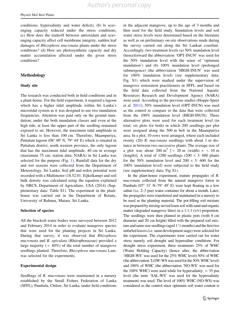conditions; hypersalinity and water deficit), (b) Is scavenging capacity reduced under the stress conditions, (c) How does the tradeoff between antioxidant and scavenging capacity affect cell membrane integrity, sudden leaf damages of Rhizophora mucronata plants under the stress conditions? (d) How are photosynthetic capacity and dry matter accumulation affected under the given stress conditions?

# Methodology

# Study site

The research was conducted both in field conditions and in a plant-house. For the field experiment, it required a lagoon which has a higher tidal amplitude within Sri Lanka's microtidal system as it was designed to use two inundation frequencies. Attention was paid only on the ground inundation; under the both inundation classes and even at the high tide, at least the upper part of the seedling remained exposed to air. However, the maximum tidal amplitude in Sri Lanka is less than 100 cm. Therefore, Maampuriya, Puttalam lagoon  $(08^{\circ} 00' N, 79^{\circ} 44' E)$  which is situated in Puttalam district, north western province, the only lagoon that has the maximum tidal amplitude, 40 cm in average (maximum 75 cm; station data: NARA) in Sri Lanka was selected for the purpose (Fig. [1\)](#page-5-0). Rainfall data for the dry and wet seasons were collected from the Department of Meteorology, Sri Lanka. Soil pH and redox potential were recorded with a Multimeter (18.52.01. Eijkelkamp) and soil bulk density was calculated using the equation explained by NRCS, Department of Agriculture, USA (2014) (Supplementary data: Table S1). The experiment in the planthouse was carried out in the Department of Botany, University of Ruhuna, Matara. Sri Lanka.

# Selection of species

All the brackish water bodies were surveyed between 2012 and February 2014 in order to evaluate mangrove species that were used for the planting projects in Sri Lanka. During that survey, it was observed that Rhizophora mucronata and R. apiculata (Rhizophoraceae) provided a large majority ( $\sim 80\%$ ) of the total number of mangrove seedlings planted. Therefore, Rhizophora mucronata Lam. was selected for the experiments.

# Experimental design

Seedlings of R. mucronata were maintained in a nursery established by the Small Fishers Federation of Lanka (SFFL), Pambala, Chilaw, Sri Lanka, under field conditions in the adjacent mangrove, up to the age of 3 months and then used for the field study. Inundation levels and soil water stress levels were determined based on the literature as well as on preliminary on-site observations made during the survey carried out along the Sri Lankan coastline. Accordingly, two treatment levels (a) 50% inundation level (henceforward the abbreviation 'OPT-INUN' was used for the 50% inundation level with the sense of 'optimum inundation') and (b) 100% inundation level (prolonged submergence) (the abbreviation 'HIGH-INUN' was used for 100% inundation level) (see supplementary data; Fig. S1) which were marked under the supervision of mangrove restoration practitioners in SFFL and based on the field data collected from the National Aquatic Resources Research and Development Agency (NARA) were used. According to the previous studies (Hoppe-Speer et al. [2011\)](#page-14-0), 50% inundation level (OPT-INUN) was used as the control to compare to the data that were collected from the 100% inundation level (HIGH-INUN). Three alternative plots were used for each treatment level (in total, six plots for both) in which 200 seedlings per plot were assigned along the 500 m belt in the Maampuriya area. In a plot, 10 rows were arranged, where each included twenty (20) R. mucronata seedlings with about 1 m distance in between two successive plants. The average size of a plot was about 200 m<sup>2</sup> [ $\sim$  20 m (width)  $\times \sim 10$  m (length)]. A total of 1200 seedlings (200  $\times$  3: 600 plants for the 50% inundation level and 200  $\times$  3: 600 for the 100% inundation level) were subjected to the field study (see supplementary data; Fig S1).

In the plant-house experiment, mature propagules of R. mucronata collected from the natural mangrove forest in Pambala (07 $\degree$  31' N–79 $\degree$  49' E) were kept floating in a low saline (i.e. 2–3 psu) water container for about a month. Later, the propagules were transferred and maintained in a nursery to be used as the planting material. The pot-filling soil mixture was prepared by mixing sieved loam soil with sand and organic matter (degraded mangrove litter) in a 1:1:1 (v/v) proportion. The seedlings were then planted in plastic pots (with 8 cm diameter and 20 cm height) filled with the prepared soil mixture and same size seedlings (aged  $1\frac{1}{2}$  months) and the first two unfurled leaves (i.e. same development stage) were selected for the experiment. The experiments were carried out for water stress namely soil drought and hypersaline conditions. For drought stress experiment, three treatments 25% of WHC (Water Holding Capacity) (hence after, the abbreviation 'HIGH-WS' was used for the 25% WHC level) 50% of WHC (the abbreviation 'LOW-WS was used for the 50%WHC level) and 100% of WHC (the abbreviation 'NO-WS' was used for the 100% WHC) were used while for hypersalinity,  $\langle$  35 psu level (the term 'SAL-WS' was used for the hypersalinity treatment) was used. The level of 100% WHC (NO-WS) was considered as the control since optimum soil water content is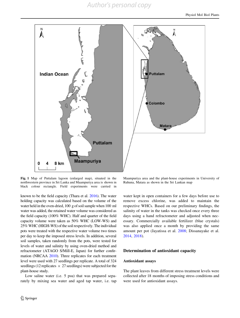*Author's personal copy*

<span id="page-5-0"></span>

Fig. 1 Map of Puttalam lagoon (enlarged map), situated in the northwestern province in Sri Lanka and Maampuriya area is shown in black colour rectangle. Field experiments were carried in

known to be the field capacity (Thara et al. [2016](#page-14-0)). The water holding capacity was calculated based on the volume of the water held in the oven-dried, 100 g of soil sample when 100 ml water was added, the retained water volume was considered as the field capacity (100% WHC). Half and quarter of the field capacity volume were taken as 50% WHC (LOW-WS) and 25%WHC (HIGH-WS) of the soil respectively. The individual pots were treated with the respective water volume two times per day to keep the imposed stress levels. In addition, several soil samples, taken randomly from the pots, were tested for levels of water and salinity by using oven-dried method and refractometer (ATAGO S/Mill-E, Japan) for further confirmation (NRCAA [2010](#page-14-0)). Three replicates for each treatment level were used with 27 seedlings per replicate. A total of 324 seedlings (12 replicates  $\times$  27 seedlings) were subjected for the plant-house study.

Low saline water (i.e. 5 psu) that was prepared separately by mixing sea water and aged tap water, i.e. tap Maampuriya area and the plant-house experiments in University of Ruhuna, Matara as shown in the Sri Lankan map

water kept in open containers for a few days before use to remove excess chlorine, was added to maintain the respective WHCs. Based on our preliminary findings, the salinity of water in the tanks was checked once every three days using a hand refractometer and adjusted when necessary. Commercially available fertilizer (blue crystals) was also applied once a month by providing the same amount per pot (Jayatissa et al. [2008;](#page-14-0) Dissanayake et al. [2014](#page-13-0), [2018\)](#page-13-0).

### Determination of antioxidant capacity

# Antioxidant assays

The plant leaves from different stress treatment levels were collected after 18 months of imposing stress conditions and were used for antioxidant assays.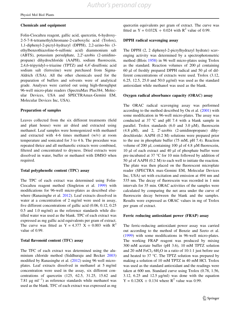## Chemicals and equipment

Folin-Ciocalteu reagent, gallic acid, quercetin, 6-hydroxy-2-5-7-8-tetramethylchromane-2-carboxylic acid (Trolox), 1,1-diphenyl-2-picryl-hydrazyl (DPPH), 2,2-azino-bis (3 ethylbenzothiazoline-6-sulfonic acid) diammonium salt (ABTS), potassium persulphate, 2,2'-azobis (2-amidinopropane) dihydrochloride (AAPH), sodium fluorescein, 2,4,6-tripyridyl-s-triazine (TPTZ) and 4,4'-disulfonic acid sodium salt (ferrozine) were purchased from Sigma-Aldrich (USA). All the other chemicals used for the preparation of buffers and solvents were of analytical grade. Analyses were carried out using high-throughput 96-well micro-plate readers (SpectraMax Plus384, Molecular Devices, USA and SPECTRAmax-Gemini EM, Molecular Devices Inc, USA).

### Preparation of samples

Leaves collected from the six different treatments (field and plant house) were air dried and extracted using methanol. Leaf samples were homogenized with methanol and extracted with 4-6 times methanol (w/v) at room temperature and sonicated for 3 to 4 h. The procedure was repeated thrice and all methanolic extracts were combined, filtered and concentrated to dryness. Dried extracts were dissolved in water, buffer or methanol with DMSO when required.

### Total polyphenolic content (TPC) assay

The TPC of each extract was determined using Folin-Ciocalteu reagent method (Singleton et al. [1999](#page-14-0)) with modifications for 96-well micro-plates as described elsewhere (Ranasinghe et al. [2012](#page-14-0)). Leaf extracts dissolved in water at a concentration of 2 mg/ml were used in assay, five different concentrations of gallic acid (0.06, 0.12, 0.25 0.5 and 1.0 mg/ml) as the reference standards while distilled water was used as the blank. TPC of each extract was expressed as mg gallic acid equivalents per gram of extract. The curve was fitted as  $Y = 4.377$   $X + 0.003$  with  $R^2$ value of 0.99.

#### Total flavonoid content (TFC) assay

The TFC of each extract was determined using the aluminium chloride method (Siddhuraju and Becker [2003\)](#page-14-0) modified by Ranasinghe et al. [\(2012](#page-14-0)) using 96 well microplates. Leaf extracts dissolved in methanol at 5 mg/ml concentration were used in the assay, six different concentrations of quercetin (125, 62.5, 31.25, 15.62 and 7.81  $\mu$ g ml<sup>-1</sup>) as reference standards while methanol was used as the blank. TFC of each extract was expressed as mg quercetin equivalents per gram of extract. The curve was fitted as  $Y = 0.032X + 0.024$  with  $R^2$  value of 0.99.

### DPPH radical scavenging assay

The DPPH (2, 2 diphenyl-2-picrylhydrazyl hydrate) scavenging activity was determined by a spectrophotometric method (Blois [1958](#page-13-0)) in 96 well micro-plates using Trolox as the standard. Reaction volumes of  $200 \mu l$  containing 60  $\mu$ l of freshly prepared DPPH radical and 50  $\mu$ l of different concentrations of extracts were used. Trolox (3.12, 6.25, 12.5, 25.0 and 50.0  $\mu$ g/ml) was used as the standard antioxidant while methanol was used as the blank.

### Oxygen radical absorbance capacity (ORAC) assay

The ORAC radical scavenging assay was performed according to the method described by Ou et al. ([2001](#page-14-0)) with some modification in 96-well micro-plates. The assay was conducted at  $37^{\circ}$ C and pH 7.4 with a blank sample in parallel. Trolox standards  $(6.0 \text{ and } 3.0 \text{ }\mu\text{M})$ , fluorescein  $(4.8 \mu M)$ , and 2, 2'-azobis (2-amidinopropane) dihydrochloride: AAPH (0.2 M) solutions were prepared prior to the use in phosphate buffer (75 mM, pH 7.4). Reaction volume of 200  $\mu$ l, containing 100  $\mu$ l of 4.8  $\mu$ M fluorescein, 10  $\mu$ l of each extract and 40  $\mu$ l of phosphate buffer were pre-incubated at 37  $\degree$ C for 10 min followed by addition of 50  $\mu$ l of AAPH (0.2 M) to each well to initiate the reaction. The plate was then placed on the fluorescent microplate reader (SPECTRA max-Gemini EM, Molecular Devices Inc, USA) set with excitation and emission at 494 nm and 535 nm. The decay of fluorescein was recorded in 1 min intervals for 35 min. ORAC activities of the samples were calculated by comparing the net area under the curve of fluorescein decay between the blank and the samples. Results were expressed as ORAC values in mg of Trolox per gram of extract.

# Ferric reducing antioxidant power (FRAP) assay

The ferric-reducing antioxidant power assay was carried out according to the method of Benzie and Szeto et al. [\(1999](#page-13-0)) with some modifications in 96-well micro-plates. The working FRAP reagent was produced by mixing 300 mM acetate buffer (pH 3.6), 10 mM TPTZ solution and 20 mM FeCl<sub>3</sub>  $6H<sub>2</sub>O$  in a ratio of 10:1:1 just before use and heated to 37  $\degree$ C. The TPTZ solution was prepared by making a solution of 10 mM TPTZ in 40 mM HCl. Trolox was used as the standard antioxidant and the readings were taken at 600 nm. Standard curve using Trolox (0.78, 1.56, 3.12, 6.25 and 12.5  $\mu$ g/ml) was done with the equation  $Y = 0.128X + 0.134$  where  $R^2$  value was 0.99.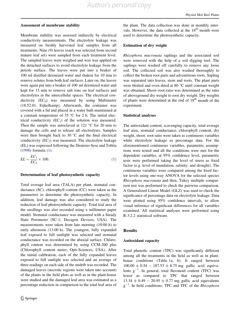### Assessment of membrane stability

Membrane stability was assessed indirectly by electrical conductivity measurements. The electrolyte leakage was measured on freshly harvested leaf samples from all treatments. Nine (9) leaves (each was selected from second mature leaf set) were sampled from each treatment level. The sampled leaves were weighed and wax was applied on the detached surfaces to avoid electrolyte leakage from the petiole surface. The leaves were put into a beaker of 100 ml distilled deionized water and shaken for 10 min to remove solutes from both leaf surfaces. Later on, the leaves were again put into a beaker of 100 ml deionized water and kept for 15 min to remove salt ions on leaf surfaces and electrolytes in the intercellular spaces. The electrical conductivity  $(EC_0)$  was measured by using Multimeter (18.52.01. Eijkelkamp). Afterwards, the container was covered with a lid and placed in a water bath maintained at a constant temperature of  $35^{\circ}$ C for 2 h. The initial electrical conductivity  $(EC_1)$  of the solution was measured. Then the sample was autoclaved at 121  $\degree$ C for 20 min to damage the cells and to release all electrolytes. Samples were then brought back to 30  $^{\circ}$ C and the final electrical conductivity  $(EC_2)$  was measured. The electrolyte leakage (EL) was expressed following the Dionisio-Sese and Tobita [\(1998](#page-13-0)) formula (1).

$$
EL = \frac{EC_1}{EC_2} \times 100.
$$
\n<sup>(1)</sup>

#### Determination of leaf photosynthetic capacity

Total average leaf area (TALA) per plant, stomatal conductance (SC), chlorophyll content (CC) were taken as the parameters to determine the photosynthetic capacity, In addition, leaf damage was also considered to study the reduction of leaf photosynthetic capacity. Total leaf area of the seedlings was also recorded using a millimeter paper model. Stomatal conductance was measured with a Steady State Porometer (SC-1; Decagon Devices, USA). The measurements were taken from late morning (10:00 h) to early afternoon (13:00 h). The youngest, fully expanded leaf exposed to full sunlight was selected and stomatal conductance was recorded on the abaxial surface. Chlorophyll content was determined by using CCM-200 plus (Chlorophyll content meter; Opti-Sciences, USA). After the initial calibration, each of the fully expanded leaves exposed to full sunlight was selected and an average of three readings on each side of the midrib was recorded. The damaged leaves (necrotic regions were taken into account) of the plants in the field plots as well as in the plant-house were studied and the damaged leaf area was estimated as a percentage reduction in comparison to the total leaf area of the plant. The data collection was done at monthly intervals. However, the data collected at the  $18<sup>th</sup>$  month were used to determine the photosynthetic capacity.

# Estimation of dry weight

Rhizophora mucronata saplings and the associated soil were removed with the help of a soil digging tool. The saplings were washed off carefully to remove any loose soil. The collected soil was also washed thoroughly to collect the broken root parts and adventitious roots. Sapling was separated into leaves, stem and roots. The plant parts were blotted and oven dried at 80 $\degree$ C until constant weight was obtained. Shoot–root ratio was determined as the ratio of aboveground dry weight to root dry weight. Dry weights of plants were determined at the end of  $18<sup>th</sup>$  month of the experiment.

#### Statistical analyses

The antioxidant content, scavenging capacity, total average leaf area, stomatal conductance, chlorophyll content, dry weight, shoot: root ratio were taken as continuous variables while electrolyte leakage as percentage data. For the aforementioned continuous variables, parametric assumptions were tested and all the conditions were met for the dependent variables, at 95% confidence level, parametric tests were performed taking the level of stress as fixed factor (e.g. level of inundation, salinity, and drought). The continuous variables were compared among the fixed factor levels using one-way ANOVA for the selected species Rhizophora mucronata and then, Tukey multiple comparison test was performed to check the pairwise comparison. A Generalized Linear Model (GLZ) was used to check the significance of percentage data on electrolyte leakage. Data were plotted using 95% confidence intervals, to allow visual inference of significant differences for all variables examined. All statistical analyses were performed using R-3.2.2 statistical software.

# Results

# Antioxidant capacity

Total phenolic content (TPC) was significantly different among all the treatments in the field as well as in planthouse conditions (Table [1a](#page-8-0), b). It ranged between  $100.00 \pm 0.54 - 187.53 \pm 8.75$  mg gallic acid equivalents  $g^{-1}$ . In general, total flavonoid content (TFC) was lower as compared to TPC that ranged between  $13.34 \pm 0.49 - 20.95 \pm 0.77$  mg gallic acid equivalents  $g^{-1}$ . In field conditions, TPC and TFC of the *Rhizophora*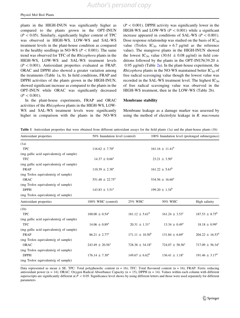<span id="page-8-0"></span>plants in the HIGH-INUN was significantly higher as compared to the plants grown in the OPT-INUN  $(P< 0.05)$ . Similarly, significantly higher content of TPC was observed in HIGH-WS, LOW-WS and SAL-WS treatment levels in the plant-house condition as compared to the healthy seedlings in NO-WS ( $P \lt 0.001$ ). The same trend was observed for TFC of the Rhizophora plants in the HIGH-WS, LOW-WS and SAL-WS treatment levels  $(P < 0.001)$ . Antioxidant properties evaluated as FRAP, ORAC and DPPH also showed a greater variation among the treatments (Table 1a, b). In field conditions, FRAP and DPPH activities of the plants grown in the HIGH-INUN, showed significant increase as compared to the plants in the OPT-INUN while ORAC was significantly decreased  $(P < 0.001)$ .

In the plant-house experiments, FRAP and ORAC activities of the Rhizophora plants in the HIGH-WS, LOW-WS and SAL-WS treatment levels were significantly higher in comparison with the plants in the NO-WS

 $(P< 0.001)$ . DPPH activity was significantly lower in the HIGH-WS and LOW-WS ( $P \lt 0.001$ ) while a significant increase appeared in conditions of SAL-WS ( $P < 0.001$ ). Dose response relationship was studied on the basis of  $IC_{50}$ value (Trolox IC<sub>50</sub> value = 6.7  $\mu$ g/ml as the reference value). The mangrove plants in the HIGH-INUN showed the lowest IC<sub>50</sub> value (30.61  $\pm$  0.08 µg/ml) in field conditions followed by the plants in the OPT-INUN(39.20  $\pm$ 0.95  $\mu$ g/ml) (Table [2](#page-9-0)a). In the plant-house experiment, the *Rhizophora* plants in the NO-WS maintained better  $IC_{50}$  of free radical scavenging value though the lowest value was recorded in the SAL-WS treatment level. The highest  $IC_{50}$ of free radical scavenging value was observed in the HIGH-WS treatment, then in the LOW-WS (Table [2b](#page-9-0)).

# Membrane stability

Membrane leakage as a damage marker was assessed by using the method of electrolyte leakage in R. mucronata

Table 1 Antioxidant properties that were obtained from different antioxidant assays for the field plants (1a) and the plant-house plants (1b)

| Antioxidant properties                   | 50% Inundation level (control) | 100% Inundation level (prolonged submergence) |                                 |                                 |  |
|------------------------------------------|--------------------------------|-----------------------------------------------|---------------------------------|---------------------------------|--|
| (1a)                                     |                                |                                               |                                 |                                 |  |
| <b>TPC</b>                               | $116.62 \pm 7.70^{\circ}$      |                                               | $161.16 \pm 11.41^b$            |                                 |  |
| (mg gallic acid equivalents/g of sample) |                                |                                               |                                 |                                 |  |
| <b>TFC</b>                               | $14.37 \pm 0.66^x$             |                                               | $23.21 \pm 3.50^y$              |                                 |  |
| (mg gallic acid equivalents/g of sample) |                                |                                               |                                 |                                 |  |
| FRAP                                     | $110.39 \pm 2.38^{\text{a}}$   |                                               | $161.22 \pm 5.63^b$             |                                 |  |
| (mg Trolox equivalents/g of sample)      |                                |                                               |                                 |                                 |  |
| <b>ORAC</b>                              | $551.48 \pm 22.75^x$           |                                               | 534.56 $\pm$ 16.60 <sup>x</sup> |                                 |  |
| (mg Trolox equivalents/g of sample)      |                                |                                               |                                 |                                 |  |
| <b>DPPH</b>                              | $143.83 \pm 3.51^{\circ}$      |                                               | $199.20 \pm 1.34^b$             |                                 |  |
| (mg Trolox equivalents/g of sample)      |                                |                                               |                                 |                                 |  |
| Antioxidant properties                   | 100% WHC (control)             | 25% WHC                                       | 50% WHC                         | High salinity                   |  |
| (1b)                                     |                                |                                               |                                 |                                 |  |
| <b>TPC</b>                               | $100.00 \pm 0.54$ <sup>a</sup> | $181.12 \pm 5.61^b$                           | $161.24 \pm 3.53^{\circ}$       | $187.53 \pm 8.75^{\rm b}$       |  |
| (mg gallic acid equivalents/g of sample) |                                |                                               |                                 |                                 |  |
| <b>TFC</b>                               | $14.06 \pm 0.89$ <sup>x</sup>  | $20.31 \pm 1.31^y$                            | $13.34 \pm 0.49^x$              | $18.18 \pm 0.99^y$              |  |
| (mg gallic acid equivalents/g of sample) |                                |                                               |                                 |                                 |  |
| FRAP                                     | $86.21 \pm 2.77^{\rm a}$       | $171.11 \pm 10.50^b$                          | $131.84 \pm 6.69^{\circ}$       | $204.22 \pm 16.53^d$            |  |
| (mg Trolox equivalents/g of sample)      |                                |                                               |                                 |                                 |  |
| <b>ORAC</b>                              | $243.49 \pm 20.56^x$           | $728.38 \pm 34.18^y$                          | $724.07 \pm 58.56^y$            | $717.09 \pm 56.34$ <sup>y</sup> |  |
| (mg Trolox equivalents/g of sample)      |                                |                                               |                                 |                                 |  |
| <b>DPPH</b>                              | $176.14 \pm 7.30^{\circ}$      | $149.67 \pm 6.62^b$                           | $136.41 \pm 1.18^{\circ}$       | $191.46 \pm 3.17^{\mathrm{d}}$  |  |
| (mg Trolox equivalents/g of sample)      |                                |                                               |                                 |                                 |  |

Data represented as mean  $\pm$  SE. TPC: Total polyphenolic content (n = 16); TFC: Total flavonoid content (n = 16); FRAP: Ferric reducing antioxidant power (n = 14); ORAC: Oxygen Radical Absorbance Capacity (n = 15), DPPH (n = 14). Values within each column with different superscripts are significantly different at  $P < 0.05$ . Significance level shows by using different letters and those were used separately for different parameters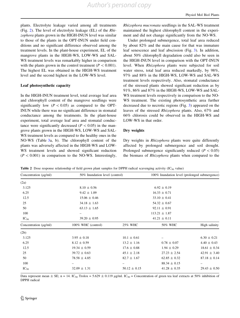<span id="page-9-0"></span>plants. Electrolyte leakage varied among all treatments (Fig. [2](#page-10-0)). The level of electrolyte leakage (EL) of the Rhizophora plants grown in the HIGH-INUN level was similar to those of the plants in the OPT-INUN under field conditions and no significant difference observed among the treatment levels. In the plant-house experiment, EL of the mangrove plants in the HIGH-WS, LOW-WS and SAL-WS treatment levels was remarkably higher in comparison with the plants grown in the control treatment ( $P < 0.001$ ). The highest EL was obtained in the HIGH-WS treatment level and the second highest in the LOW-WS level.

### Leaf photosynthetic capacity

In the HIGH-INUN treatment level, total average leaf area and chlorophyll content of the mangrove seedlings were significantly low  $(P < 0.05)$  as compared to the OPT-INUN while there was no significant difference in stomatal conductance among the treatments. In the plant-house experiment, total average leaf area and stomatal conductance were significantly decreased ( $P < 0.05$ ) in the mangrove plants grown in the HIGH-WS, LOW-WS and SAL-WS treatment levels as compared to the healthy ones in the NO-WS (Table [3](#page-10-0)a, b). The chlorophyll content of the plants was adversely affected in the HIGH-WS and LOW-WS treatment levels and showed significant reduction  $(P < 0.001)$  in comparison to the NO-WS. Interestingly,

Rhizophora mucronata seedlings in the SAL-WS treatment maintained the highest chlorophyll content in the experiment and did not change significantly from the NO-WS.

Under prolonged submergence, total leaf area reduced by about 82% and the main cause for that was immature leaf senescence and leaf abscission (Fig. [3\)](#page-11-0). In addition, about 50% chlorophyll degradation could also be seen in the HIGH-INUN level in comparison with the OPT-INUN level. When Rhizophora plants were subjected for soil water stress, total leaf area reduced markedly, by 98%, 97% and 88% in the HIGH-WS, LOW-WS and SAL-WS treatment levels respectively. Also, stomatal conductance of the stressed plants showed significant reduction as by 91%, 86% and 87% in the HIGH-WS, LOW-WS and SAL-WS treatment levels respectively in comparison to the NO-WS treatment. The existing photosynthetic area further decreased due to necrotic regions (Fig. [3\)](#page-11-0) appeared on the leaves of the stressed Rhizophora plants. Also, 67% and 66% chlorosis could be observed in the HIGH-WS and LOW-WS in that order.

### Dry weights

Dry weights in Rhizophora plants were quite differently affected by prolonged submergence and soil drought. Prolonged submergence significantly reduced  $(P < 0.05)$ the biomass of Rhizophora plants when compared to the

**Table 2** Dose response relationship of field grown plant samples for DPPH radical scavenging activity  $(IC_{50}$  value)

| Concentration $(\mu g/ml)$ | 50% Inundation level (control) |                  | 100% Inundation level (prolonged submergence) |                  |  |  |
|----------------------------|--------------------------------|------------------|-----------------------------------------------|------------------|--|--|
| (2a)                       |                                |                  |                                               |                  |  |  |
| 3.125                      | $8.10 \pm 0.56$                |                  | $6.92 \pm 0.19$                               |                  |  |  |
| 6.25                       | $9.42 \pm 1.09$                |                  | $16.33 \pm 0.71$                              |                  |  |  |
| 12.5                       | $15.06 \pm 0.46$               |                  |                                               | $33.10 \pm 0.41$ |  |  |
| 25                         | $34.18 \pm 1.63$               |                  |                                               | $54.32 \pm 0.67$ |  |  |
| 50                         | $63.13 \pm 1.65$               |                  | $92.11 \pm 0.91$                              |                  |  |  |
| 100                        |                                |                  | $113.21 \pm 1.87$                             |                  |  |  |
| $IC_{50}$                  | $39.20 \pm 0.95$               |                  | $41.21 \pm 0.11$                              |                  |  |  |
| Concentration $(\mu g/ml)$ | 100% WHC (control)             | 25% WHC          | 50% WHC                                       | High salinity    |  |  |
| (2b)                       |                                |                  |                                               |                  |  |  |
| 3.125                      | $3.95 \pm 0.18$                | $10.1 \pm 0.61$  |                                               | $6.30 \pm 0.21$  |  |  |
| 6.25                       | $8.12 \pm 0.59$                | $13.2 \pm 1.16$  | $0.78 \pm 0.07$                               | $4.40 \pm 0.43$  |  |  |
| 12.5                       | $19.34 \pm 0.59$               | $17.6 \pm 0.88$  | $1.94 \pm 0.29$                               | $18.61 \pm 0.34$ |  |  |
| 25                         | $39.72 \pm 0.63$               | $45.1 \pm 2.18$  | $27.23 \pm 2.54$                              | $42.91 \pm 3.40$ |  |  |
| 50                         | $78.58 \pm 4.85$               | $82.7 \pm 1.67$  | $62.85 \pm 0.32$                              | $87.18 \pm 0.14$ |  |  |
| 100                        |                                |                  | $88.34 \pm 0.15$                              |                  |  |  |
| $IC_{50}$                  | $32.09 \pm 1.31$               | $50.12 \pm 0.15$ | $41.28 \pm 0.35$                              | $29.43 \pm 0.50$ |  |  |

Data represent mean  $\pm$  SE; n = 14. IC<sub>50</sub> Trolox = 5.629  $\pm$  0.119 µg/ml. IC<sub>50</sub> = Concentration of green tea leaf extracts at 50% inhibition of DPPH radical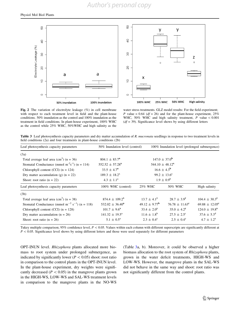*Author's personal copy*

<span id="page-10-0"></span>



Fig. 2 The variation of electrolyte leakage (%) in cell membrane with respect to each treatment level in field and the plant-house conditions. 50% inundation as the control and 100% inundation as the treatment in field conditions. In plant-house experiment, 100% WHC as the control while 25% WHC, 50%WHC and high salinity as the

water stress treatments. GLZ model results: For the field experiment; P value = 0.64 ( $df = 26$ ) and for the plant-house experiment, 25% WHC, 50% WHC and high salinity treatment,  $P$  value  $\lt$  0.001  $(df = 39)$ . Significance level shows by using different letters

Table 3 Leaf photosynthesis capacity parameters and dry matter accumulation of R. mucronata seedlings in response to two treatment levels in field conditions (2a) and four treatments in plant-house conditions (2b)

| Leaf photosynthesis capacity parameters                                | 50% Inundation level (control)  |                          | 100% Inundation level (prolonged submergence) |                             |  |
|------------------------------------------------------------------------|---------------------------------|--------------------------|-----------------------------------------------|-----------------------------|--|
| (3a)                                                                   |                                 |                          |                                               |                             |  |
| Total average leaf area $\text{(cm}^3)$ (n = 36)                       | $804.1 \pm 83.7^{\circ}$        | $147.0 \pm 37.0^{\rm b}$ |                                               |                             |  |
| Stomatal Conductance (mmol $m^{-2}s^{-1}$ ) (n = 114)                  | $552.52 \pm 57.28$ <sup>x</sup> | $544.10 \pm 48.12^x$     |                                               |                             |  |
| Chlorophyll content (CCI) $(n = 124)$                                  | $33.5 \pm 4.7^{\rm a}$          | $16.6 \pm 4.3^{\rm b}$   |                                               |                             |  |
| Dry matter accumulation (g) $(n = 22)$                                 | $189.3 \pm 18.2^x$              | $99.2 \pm 13.6^y$        |                                               |                             |  |
| Shoot: root ratio ( $n = 22$ )                                         | $4.3 \pm 1.1^a$                 |                          | $1.9 \pm 0.9^{\rm b}$                         |                             |  |
| Leaf photosynthesis capacity parameters                                | 100% WHC (control)              | 25% WHC                  | 50% WHC                                       | High salinity               |  |
| (3b)                                                                   |                                 |                          |                                               |                             |  |
| Total average leaf area $\text{(cm}^3)$ (n = 38)                       | $874.4 \pm 109.2^{\text{x}}$    | $13.7 \pm 4.1^y$         | $28.7 \pm 3.9^y$                              | $104.4 \pm 30.3^2$          |  |
| Stomatal Conductance (mmol m <sup>-2</sup> s <sup>-1</sup> ) (n = 118) | $532.02 \pm 36.40^{\circ}$      | $49.12 \pm 9.77^{\rm b}$ | $76.78 \pm 11.63^{\circ}$                     | $69.88 \pm 12.05^{\circ}$   |  |
| Chlorophyll content (CCI) $(n = 128)$                                  | $101.7 \pm 9.6^x$               | $33.4 \pm 2.0^y$         | $35.0 \pm 4.2^y$                              | $124.0 \pm 19.8^{\text{x}}$ |  |
| Dry matter accumulation ( $n = 26$ )                                   | $141.32 \pm 19.5^{\circ}$       | $11.6 \pm 1.8^{\rm b}$   | $27.5 \pm 2.5^{\circ}$                        | $37.6 \pm 5.3^{\rm d}$      |  |
| Shoot: root ratio ( $n = 26$ )                                         | $5.1 \pm 0.5^x$                 | $2.3 \pm 0.4^y$          | $2.5 \pm 0.4^y$                               | $4.7 \pm 1.2^x$             |  |

Tukey multiple comparison; 95% confidence level,  $P < 0.05$ . Values within each column with different superscripts are significantly different at  $P < 0.05$ . Significance level shows by using different letters and those were used separately for different parameters

OPT-INUN level. Rhizophora plants allocated more biomass to root system under prolonged submergence, as indicated by significantly lower ( $P < 0.05$ ) shoot: root ratio in comparison to the control plants in the OPT-INUN level. In the plant-house experiment, dry weights were significantly decreased ( $P < 0.05$ ) in the mangrove plants grown in the HIGH-WS, LOW-WS and SAL-WS treatment levels in comparison to the mangrove plants in the NO-WS (Table 3a, b). Moreover, it could be observed a higher biomass allocation to the root system of Rhizophora plants, grown in the water deficit treatments, HIGH-WS and LOW-WS. However, the mangrove plants in the SAL-WS did not behave in the same way and shoot: root ratio was not significantly different from the control plants.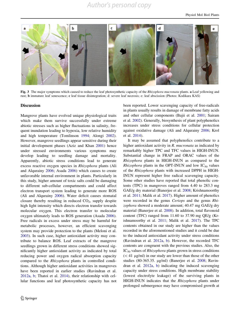<span id="page-11-0"></span>

Fig. 3 The major symptoms which caused to reduce the leaf photosynthetic capacity of the Rhizophora mucronata plants. a Leaf yellowing and rust; b immature leaf senescence; c leaf tissue disintegration; d: severe leaf necrosis; e: leaf abscission (Photos: Kodikara KAS)

### **Discussion**

Mangrove plants have evolved unique physiological traits which make them survive successfully under extreme abiotic stresses such as higher fluctuations in salinity, frequent inundation leading to hypoxia, low relative humidity and high temperature (Tomlinson [1994](#page-14-0); Alongi [2002](#page-13-0)). However, mangrove seedlings appear sensitive during their initial development phases (Aziz and Khan [2001\)](#page-13-0) hence under stressed environments various symptoms may develop leading to seedling damage and mortality. Apparently, abiotic stress conditions lead to generate excess reactive oxygen species in Rhizophora plants (Ali and Alqurainy [2006](#page-13-0); Asada [2006\)](#page-13-0) which causes to create unfavorable internal environment in plants. Particularly in this study, higher amount of toxic salts could be damaging to different sub-cellular compartments and could affect electron transport system leading to generate more ROS (Ali and Alqurainy [2006\)](#page-13-0). Water deficit causes stomatal closure thereby resulting in reduced  $CO<sub>2</sub>$ , supply despite high light intensity which directs electron transfer towards molecular oxygen. This electron transfer to molecular oxygen ultimately leads to ROS generation (Asada [2006](#page-13-0)). Free radicals in excess under stress may be harmful for metabolic processes, however, an efficient scavenging system may provide protection to the plants (Meloni et al. [2003\)](#page-14-0). In such case, higher antioxidant activity may contribute to balance ROS. Leaf extracts of the mangrove seedlings grown in different stress conditions showed significantly higher antioxidant activity as indicated by total reducing power and oxygen radical absorption capacity compared to the Rhizophora plants in controlled conditions. Although higher antioxidant activities in mangroves have been reported in earlier studies (Ravindran et al. [2012a](#page-14-0), [b;](#page-14-0) Thatoi et al. [2014\)](#page-14-0), their relationship with cellular functions and leaf photosynthetic capacity has not been reported. Lower scavenging capacity of free-radicals in plants usually results in damage of membrane fatty acids and other cellular components (Bajii et al. [2001;](#page-13-0) Sairam et al. [2002\)](#page-14-0). Generally, biosynthesis of plant polyphenolics increases under stress conditions for cellular protection against oxidative damage (Ali and Alqurainy [2006](#page-13-0); Krol et al. [2014\)](#page-14-0).

It may be assumed that polyphenolics contribute to a higher antioxidant activity in R. mucronata as indicated by remarkably higher TPC and TFC values in HIGH-INUN. Substantial change in FRAP and ORAC values of the Rhizophora plants in HIGH-INUN as compared to the *Rhizophora* plants in the OPT-INUN and low  $IC_{50}$  values of the Rhizophora plants with increased DPPH in HIGH-INUN represent higher free radical scavenging capacity. Some other studies have reported that total phenolic contents (TPC) in mangroves ranged from 4.40 to 283.3 mg GAE/g dry material (Banerjee et al. [2008](#page-13-0); Krishnamoorthy et al. [2011;](#page-14-0) Malik et al. [2017](#page-14-0)). Higher amount of phenolics were recorded in the genus Ceriops and the genus Rhizophora showed a moderate amount; 40.47 mg GAE/g dry material (Banerjee et al. [2008](#page-13-0)). In addition, total flavonoid content (TFC) ranged from 11.60 to 37.90 mg QE/g (Krishnamoorthy et al. [2011](#page-14-0); Malik et al. [2017](#page-14-0)). The TPC contents obtained in our study are higher than the values recorded in the aforementioned studies and it could be due to the induced antioxidant activity under stress conditions (Ravindran et al. [2012a](#page-14-0), [b\)](#page-14-0). However, the recorded TFC contents are congruent with the previous studies. Also, the IC<sub>50</sub> values of *Rhizophora* plants grown in stress conditions  $(< 41 \text{ µg/ml})$  in our study are lower than those of the other studies (80-365.35. µg/ml) (Banerjee et al. [2008;](#page-13-0) Ravindran et al. [2012a](#page-14-0), [b](#page-14-0)) indicating the induced scavenging capacity under stress conditions. High membrane stability (lowest electrolyte leakage) of the surviving plants in HIGH-INUN indicates that the Rhizophora plants under prolonged submergence may have compromised growth at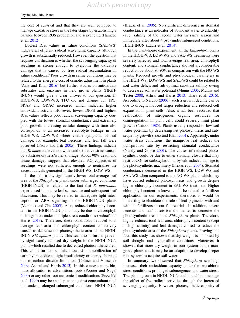the cost of survival and that they are well equipped to manage oxidative stress in the later stages by establishing a balance between ROS production and scavenging (Hameed et al. [2012\)](#page-13-0).

Lowest  $IC_{50}$  values in saline conditions (SAL-WS) indicate an efficient radical scavenging capacity although growth is substantially reduced. However, the question that requires clarification is whether the scavenging capacity of seedlings is strong enough to overcome the oxidative damage that is caused by free radical accumulation in saline conditions? Poor growth in saline conditions may be related to the energetic cost of osmotic adjustment in plants (Aziz and Khan [2016\)](#page-13-0) but further studies on antioxidant substrates and enzymes in field grown plants (HIGH-INUN) would give a clear answer to our question. In HIGH-WS, LOW-WS, TFC did not change but TPC, FRAP and ORAC increased which indicates higher antioxidant activity. However, lowest DPPH and highest  $IC_{50}$  values reflects poor radical scavenging capacity coupled with the lowest stomatal conductance and extremely poor growth. Increasing cellular damage with time also corresponds to an increased electrolyte leakage in the HIGH-WS, LOW-WS where visible symptoms of leaf damage, for example, leaf necrosis, and leaf fall were observed (Faoro and Iriti [2005\)](#page-13-0). These findings indicate that R. mucronata cannot withstand oxidative stress caused by substrate dryness/water shortage. About 90% death and tissue damages suggest that elevated AO capacities of seedlings were not sufficient enough to neutralize the excess radicals generated in the HIGH-WS, LOW-WS.

In the field trials, significantly lower total average leaf area of the Rhizophora plants under submerged conditions (HIGH-INUN) is related to the fact that R. mucronata experienced immature leaf senescence and subsequent leaf abscission. This may be related to inadequate light interception or ABA signaling in the HIGH-INUN plants (Verslues and Zhu [2005](#page-15-0)). Also, reduced chlorophyll content in the HIGH-INUN plants may be due to chlorophyll disintegration under multiple stress conditions (Ashraf and Harris [2013](#page-13-0)). Therefore, these conditions, reduced total average leaf area and chlorophyll content collectively caused to decrease the photosynthetic area of the HIGH-INUN Rhizophora plants. This scenario is further proven by significantly reduced dry weight in the HIGH-INUN plants which resulted due to decreased photosynthetic area. This could further be linked towards immobilization of carbohydrates due to light insufficiency or energy shortage due to carbon dioxide limitation (Colmer and Voesenek [2009;](#page-13-0) Ashraf and Harris [2013](#page-13-0)). In this context, more biomass allocation to adventitious roots (Poorter and Nagel [2000\)](#page-14-0) or any other root anatomical modifications (Pezeshki et al. [1990](#page-14-0)) may be an adaptation against concomitant tidal hits under prolonged submerged conditions; HIGH-INUN (Krauss et al. [2006\)](#page-14-0). No significant difference in stomatal conductance is an indicator of abundant water availability (avg. salinity of the lagoon water in rainy season and immediate after about 4 psu) under submerged conditions; HIGH-INUN (Lauri et al. [2014\)](#page-14-0).

In the plant-house experiment, all the Rhizophora plants in the HIGH-WS, LOW-WS and SAL-WS treatments were severely affected and total average leaf area, chlorophyll content, and stomatal conductance showed a considerable reduction by about 80-90% in comparison with the NO-WS plants. Reduced growth and physiological parameters in the HIGH-WS, LOW-WS and SAL-WS could be related to soil water deficit and sub-optimal substrate salinity owing to decreased soil water potential (Munns [2005;](#page-14-0) Munns and Tester [2008](#page-14-0); Ashraf and Harris [2013;](#page-13-0) Thara et al. [2016](#page-14-0)). According to Naidoo ([2006\)](#page-14-0), such a growth decline can be due to drought induced turgor reduction and reduced cell expansion in plant cells. Also, it has been recorded that reallocation of nitrogenous organic resources for osmoregulation in plant cells could severely limit plant growth (Naidoo [1985](#page-14-0)). Plants usually respond to low soil water potential by decreasing net photosynthesis and sub-sequently growth (Aziz and Khan [2001](#page-13-0)). Apparently, under water stress conditions, the mangrove leaf reduces the transpiration rate by restricting stomatal conductance (Nandy and Ghose [2001\)](#page-14-0). The causes of reduced photosynthesis could be due to either stomatal closure that may restrict  $CO<sub>2</sub>$  for carboxylation or by salt-induced damage to the photosynthetic machinery (Flexas et al. [2004](#page-13-0)). Stomatal conductance decreased in the HIGH-WS, LOW-WS and SAL-WS when compared to the NO-WS plants which may have caused reduced photosynthesis and growth despite higher chlorophyll content in SAL-WS treatment. Higher chlorophyll content in leaves could be related to fertilizer application in our experiments, therefore, it would be interesting to elucidate the role of leaf pigments with and without fertilizers in our future trials. In addition, severe necrosis and leaf abscission did matter to decrease the photosynthetic area of the Rhizophora plants. Therefore, highly reduced total leaf area, chlorophyll content (except in high salinity) and leaf damages caused to reduce the photosynthetic area of the Rhizophora plants. Proving this fact, this study has shown that dry weight is inhibited by soil drought and hypersaline conditions. Moreover, it showed that more dry weight in root system of the mangrove plants and it may be an adaption to develop deeper root system to acquire soil water.

In summary, we observed that Rhizophora seedlings increased their antioxidant capacity under the two abiotic stress conditions; prolonged submergence, and water stress. The plants grown in HIGH-INUN could be able to manage the effect of free-radical activities through the increased scavenging capacity. However, photosynthetic capacity of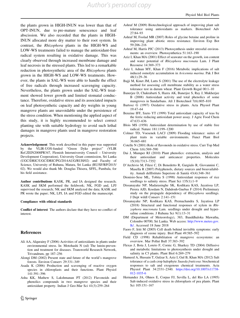<span id="page-13-0"></span>the plants grown in HIGH-INUN was lower than that of OPT-INUN, due to pre-mature senescence and leaf abscission. We also recorded that the plants in HIGH-INUN allocated more dry matter to their root system. In contrast, the Rhizophora plants in the HIGH-WS and LOW-WS treatments failed to manage the antioxidant-free radical system resulting in oxidative damage. This was clearly observed through increased membrane damage and leaf necrosis in the stressed plants. This led to a remarkable reduction in photosynthetic area of the Rhizophora plants grown in the HIGH-WS and LOW-WS treatments. However, the plants in SAL-WS were able to handle the effect of free radicals through increased scavenging capacity. Nevertheless, the plants grown under the SAL-WS treatment showed lower growth and limited stomatal conductance. Therefore, oxidative stress and its associated impacts on leaf photosynthetic capacity and dry weights in young mangrove plants are unavoidable under the persistence of the stress condition. When mentioning the applied aspect of this study, it is highly recommended to select correct planting site with suitable hydrology to avoid such lethal damages in mangrove plants used in mangrove restoration projects.

Acknowledgement This work described in this paper was supported by the VLIR-UOS-funded ''Green Dyke project'' (VLIR Ref.ZEIN2008PR347, Flemish Interuniversity Council – University Development Cooperation), University Grant commission, Sri Lanka (UGC/DRIC/UGC/DRIC/PG/2014AUG/RUH/02) and Faculty of Science, University of Ruhuna, Matara, Sri Lanka (RU/SF/RP/2015/ 02). We would also thank Mr. Douglas Thisera, SFFL, Pambala, for his field assistance.

Author contributions KASK, PR, and IA designed the research; KASK and SKM performed the fieldwork; NK, FGD and, LPJ supervised the research; NK and SKM analyzed the data; KASK and PR wrote the paper; NK, LPJ, IA and FGD edited the manuscript.

#### Compliance with ethical standards

Conflict of interest The authors declare that they have no conflict of interest.

### References

- Ali AA, Alqurainy F (2006) Activities of antioxidants in plants under environmental stress. In: Motohashi N (ed) The lutein-prevention and treatment for diseases. Transworld Research Network, Trivandrum, pp 187–256
- Alongi DM (2002) Present state and future of the world's mangrove forests. Environ Conserv 29:331–349
- Asada K (2006) Production and scavenging of reactive oxygen species in chloroplasts and their functions. Plant Physiol 141:391–396
- Asha KK, Mathew S, Lakshmanan PT (2012) Flavonoids and phenolics compounds in two mangrove species and their antioxidant property. Indian J Geo-Mar Sci 41(3):259–264
- Ashraf M (2009) Biotechnological approach of improving plant salt tolerance using antioxidants as markers. Biotechnol Adv 27:84–93
- Ashraf M, Foolad MR (2007) Roles of glycine betaine and proline in improving plant abiotic stress resistance. Environ Exp Bot 59:206–216
- Ashraf M, Harris PJC (2013) Photosynthesis under stressful environments: an overview. Photosynthetica 51:163–190
- Aziz I, Khan MA (2001) Effect of seawater on the growth, ion content and water potential of Rhizophora mucronata Lam. J Plant Recourse 14:369–373
- Aziz I, Adnan MY, Khan F (2016) Metabolic implications of salt induced osmolyte accumulation in Avicennia marina. Pak J Bot 48(1):29–36
- Bajji M, Kinet JM, Lutts S (2001) The use of the electrolyte leakage method for assessing cell membrane stability as a water stress tolerance test in durum wheat. Plant Growth Regul 00:1–10
- Banerjee D, Chakrabarti S, Hazra AK, Banerjee S, Ray J, Mukherjee B (2008) Antioxidant activity and total phenolics of some mangroves in Sundarbans. Afr J Biotechnol 7(6):805–810
- Bartosz G (1997) Oxidative stress in plants. Acta Physiol Plant 19:47–64
- Benzine IFF, Szeto YT (1999) Total antioxidant capacity of teas by the ferric reducing antioxidant power assay. J Agric Food Chem 47:633–636
- Blois MS (1958) Antioxidant determination by use of stable free radical. Nature 181:1199–1200
- Colmer TD, Voesenek LACJ (2009) Flooding tolerance: suites of plant traits in variable environments. Funct Plant Biol 36:665–681
- Cotelle N (2001) Role of flavonoids in oxidative stress. Curr Top Med Chem 1(6):569–590
- Dai J, Mumper RJ (2010) Plant phenolics: extraction, analysis and their antioxidant and anticancer properties. Molecules 15(10):7313–7352
- D'Archivio M, Filesi C, Di Benedetto R, Gargiulo R, Giovannini C, Masella R (2007) Polyphenols, dietary sources and bioavailability. Annali dellIstituto Superiore di Sanita` 43(4):348–361
- Dionisio-Sese ML, Tobita S (1998) Antioxidant responses of rice seedlings to salinity stress. Plant Sci 135(1):1–9
- Dissanayake NP, Madarasinghe SK, Kodikara KAS, Jayatissa LP, Perera AJD, Koedam N, Dahdouh-Guebas F (2014) Preliminary study on the propagule dependency of Rhizophora seedlings. J Dept wildl Conserv 2:141–151
- Dissanayake NP, Kodikara KAS, Premachandra S, Jayatissa LP (2018) Structural and functional responses of xylem in Rhizophora mucronata Lam. seedlings under drought and hypersaline conditions. J Ruhuna Sci 9(1):13–31
- DM (Department of Meteorology), 383, Bauddhaloka Mawatha, Colombo 00700, Sri Lanka. Web access: [http://www.meteo.gov.](http://www.meteo.gov.lk/) [lk/](http://www.meteo.gov.lk/). Accessed 18 June 2018
- Faoro F, Iriti M (2005) Cell death behind invisible symptoms: early diagnosis of ozone injury. Biol Plant 49:585–592
- Field CD (1998) Rehabilitation of mangrove ecosystems: an overview. Mar Pollut Bull 37:383–392
- Flexas J, Bota J, Loreto F, Cornic G, Sharkey TD (2004) Diffusive and metabolic limitations to photosynthesis under drought and salinity in C3 plants. Plant Biol 6:269–279
- Hameed A, Hussain T, Gulzar S, Aziz I, Gul B, Khan MA (2012) Salt tolerance of a cash crop halophyte Suaeda fruticosa: biochemical responses to salt and exogenous chemical treatments. Acta Physiol Plant 34:2331–2340. [https://doi.org/10.1007/s11738-](https://doi.org/10.1007/s11738-012-1035-6) [012-1035-6](https://doi.org/10.1007/s11738-012-1035-6)
- Hernandez JA, Ohnos E, Corpas FJ, Sevilla L, del Rio LA (1995) Salt-induced oxidative stress in chloroplasts of pea plants. Plant Sci 105:151–167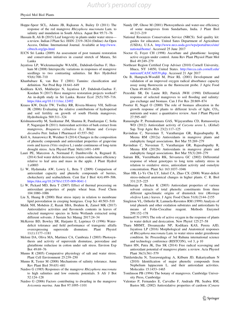- <span id="page-14-0"></span>Hoppe-Speer SCL, Adams JB, Rajkaran A, Bailey D (2011) The response of the red mangrove Rhizophora mucronata Lam. to salinity and inundation in South Africa. Aquat Bot 95:71–76
- Hussain B, Ali B (2015) Leaf longevity in plants under water stress a review. Indian J Plant Sci. ISSN: 2319–3824 (Online) An Open Access, Online. International Journal. Available at [http://www.](http://www.cibtech.org/jps.html) [cibtech.org/jps.html](http://www.cibtech.org/jps.html)
- IUCN Sri Lanka (2009) An assessment of post tsunami restoration and conservation initiatives in coastal stretch of Matara, Sri Lanka
- Jayatissa LP, Wickramasinghe WAADL, Dahdouh-Guebas F, Huxham M (2008) Interspecific variations in responses of mangrove seedlings to two contrasting salinities. Int Rev Hydrobiol 93(6):700–710
- Khanbabaee K, van Ree T (2001) Tannins: classification and definition. Nat Prod Rep 18:641–649
- Kodikara KAS, Mukherjee N, Jayatissa LP, Dahdouh-Guebas F, Koedam N (2017) Have mangrove restoration projects worked? An in-depth study in Sri Lanka. Restor Ecol 25(5):705–716. <https://doi.org/10.1111/rec.12492>
- Krauss KW, Doyle TW, Twilley RR, Rivera-Monroy VH, Sullivan JK (2006) Evaluating the relative contributions of hydroperiod and soil fertility on growth of south Florida mangroves. Hydrobiologia 569:311–324
- Krishnamoorthy M, Sasikumar JM, Shamna R, Pandiarajan C, Sofia P, Nagarajan B (2011) Antioxidant activities of bark extract from mangroves, Bruguiera cylindrica (L.) Blume and Ceriops decandra Perr. Indian J Pharmacol 43:557–562
- Król A, Amarowicz R, Weidner S (2014) Changes in the composition of phenolic compounds and antioxidant properties of grapevine roots and leaves (Vitis vinifera L.) under continuous of long-term drought stress. Acta Physiol Plant 36(6):1491–1499
- Lauri PE, Marceron A, Normand F, Dambreville A, Regnard JL (2014) Soil water deficit decreases xylem conductance efficiency relative to leaf area and mass in the apple. J Plant Hydrol 1:e0003
- Li W, Hydamaka AW, Lowry L, Beta T (2009) Comparison of antioxidant capacity and phenolic compounds of berries, chokecherry and seabuckthorn. Cent Eur J Biol 4(4):499–506. <https://doi.org/10.2478/s11535-009-0041-1>
- Li W, Pickard MD, Beta T (2007) Effect of thermal processing on antioxidant properties of purple wheat bran. Food Chem 104:1080–1086
- Liu X, Huang B (2000) Heat stress injury in relation to membrane lipid peroxidation in creeping bentgrass. Crop Sci 40:503–510
- Malik NH, Mohdsin Z, Razak SBA, Ibrahim K, Zainol MK (2017) Antioxidative activities and flavonoids contents in leaves of selected mangrove species in Setiu Wetlands extracted using different solvents. J Sustain Sci Manag 2017:24–34
- McKersie BD, Bowley SR, Harjanto E, Leprince O (1996) Waterdeficit tolerance and field performance of transgenic alfalfa overexpressing superoxide dismutase. Plant Physiol 11(1):1177–1181
- Meloni DA, Oliva MA, Martinez CA, Cambraia J (2003) Photosynthesis and activity of superoxide dismutase, peroxidase and glutathione reductase in cotton under salt stress. Environ Exp Bot 49:69–76
- Munns R (2005) Comparative physiology of salt and water stress. Plant Cell Environment 25:239–250
- Munns R, Tester M (2008) Mechanisms of salinity tolerance. Annu Rev Plant Biol 59:651–681
- Naidoo G (1985) Responses of the mangrove Rhizophora mucronata to high salinities and low osmotic potentials. S Afr J Bot 52:124–128
- Naidoo G (2006) Factors contributing to dwarfing in the mangrove Avicennia marina. Ann Bot 97:1095–1101
- Nandy DP, Ghose M (2001) Photosynthesis and water-use efficiency of some mangroves from Sundarbans, India. J Plant Biol 44:213–219
- National Resources Conservation Service (NRCS). Soil quality kit: guides for educators. United Sates Department of Agriculture (USDA), U.S.A. [http://www.nrcs.usda.gov/wps/portal/nrcs/site/](http://www.nrcs.usda.gov/wps/portal/nrcs/site/national/home/) [national/home/](http://www.nrcs.usda.gov/wps/portal/nrcs/site/national/home/). Accessed 25 June 2017
- Noctor G, Foyer CH (1998) Ascorbate and glutathione: keeping active oxygen under control. Annu Rev Plant Physiol Plant Mol Biol 49:249–279
- Northeast Region Certified Crop Adviser (2010) Cornell University, Ithaca, NY 14850, United States. [http://nrcca.cals.cornell.edu/](http://nrcca.cals.cornell.edu/nutrient/CA5/CA0539.php) [nutrient/CA5/CA0539.php.](http://nrcca.cals.cornell.edu/nutrient/CA5/CA0539.php) Accessed 21 Apr 2017
- Ou B, Hampsch-Woodill M, Prior RL (2001) Development and validation of an improved oxygen radical absorbance capacity assay using fluorescein as the fluorescent probe. J Agric Food Chem 49:4619–4626
- Pezeshki SR, De Laune RD, Patrick JWH (1990) Differential response of selected mangroves to soil flooding and salinity: gas exchange and biomass. Can J For Res 20:869–874
- Poorter H, Nagel O (2000) The role of biomass allocation in the growth response of plants to different levels of light,  $CO<sub>2</sub>$ , nutrients and water: a quantitative review. Aust J Plant Physiol 27:595–607
- Ranasinghe P, Premakumara GAS, Wijayarathna CD, Ratnasooriya WD (2012) Antioxidant activity of Caryota urens L. (Kithul) Sap. Trop Agric Res 23(2):117–125
- Ravindran C, Naveenan T, Varatharajan GR, Rajasabapathy R, Meena RM (2012a) Antioxidants in mangrove plants and endophytic fungal associations. Bot Mar 55:269–279
- Ravindran C, Naveenan T, Varatharajan GR, Rajasabapathy R, Meena RM (2012b) Antioxidants in mangrove plants and endophytic fungal associations. Bot Mar 55(3):269–279
- Sairam RK, Veerabhadra RK, Srivastava GC (2002) Differential response of wheat genotypes to long term salinity stress in relation to oxidative stress, antioxidant activity and osmolyte concentration. Plant Sci 163:1037–1046
- Shao HB, Li-Ye Chu LY, Jaleel CA, Zhao CX (2008) Water-deficit stress-induced anatomical changes in higher plants. C. R. Biol 331:215–225
- Siddhuraju P, Becker K (2003) Antioxidant properties of various solvent extracts of total phenolic constituents from three different agroclimatic origins of drumstick tree (Moringa oleifera Lam.) leaves. J Agric Food Chem 51(8):2144–2155
- Singleton VL, Orthofer R, Lamuela-Raventos RM (1999) Analysis of total phenols and other oxidation substrates and antioxidants by means of Folin-Ciocaltue reagent. Methods Enzymol 299:152–178
- Smirnoff N (1993) The role of active oxygen in the response of plants to water deficit and desiccation. New Phytol 125:27–58
- Thara MHMT, Dissanayake NP, Kodikara KAS, Perera AJD, Jayatissa LP (2016) Morphological and Anatomical responses of Rhizophora mucronata Lam. to water stress under greenhouse condition. In: Proceedings of 3rd Ruhuna international science and technology conference (RISTCON), vol 3, p 10
- Thatoi HN, Patra JK, Das SK (2014) Free radical scavenging and antioxidant potential of mangrove plants: a review. Acta Physiol Plant 36(3):561–579
- Thitilertdecha N, Teerawutgulrag A, Kilburn JD, Rakariyatham N (2010) Identification of major phenolic compounds from Nephelium lappaceum L. and their antioxidant activities. Molecules 15:1453–1465
- Tomlinson PB (1994) The botany of mangroves. Cambridge University Press, Cambridge
- Valentao P, Fernandes E, Carvalho F, Andrade PB, Seabra RM, Bastos ML (2002) Antioxidative properties of cardoon (Cynara